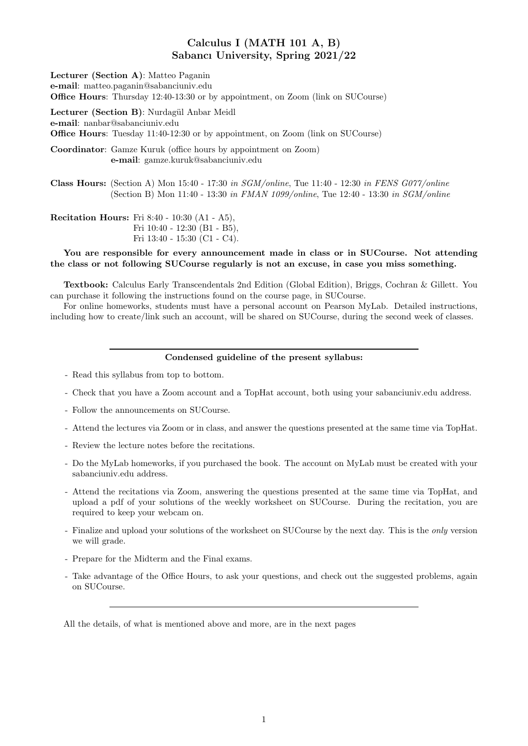# Calculus I (MATH 101 A, B) Sabancı University, Spring 2021/22

| Lecturer (Section A): Matteo Paganin<br>e-mail: matteo.paganin@sabanciuniv.edu<br><b>Office Hours:</b> Thursday 12:40-13:30 or by appointment, on Zoom (link on SUCourse)                       |  |
|-------------------------------------------------------------------------------------------------------------------------------------------------------------------------------------------------|--|
| Lecturer (Section B): Nurdagül Anbar Meidl<br>e-mail: nanbar@sabanciuniv.edu<br><b>Office Hours:</b> Tuesday 11:40-12:30 or by appointment, on Zoom (link on SUCourse)                          |  |
| <b>Coordinator:</b> Gamze Kuruk (office hours by appointment on Zoom)<br>e-mail: gamze.kuruk@sabanciuniv.edu                                                                                    |  |
| Class Hours: (Section A) Mon 15:40 - 17:30 in $SGM/online$ , Tue 11:40 - 12:30 in FENS G077/online<br>(Section B) Mon 11:40 - 13:30 in FMAN 1099/online, Tue 12:40 - 13:30 in <i>SGM/online</i> |  |
| <b>Recitation Hours:</b> Fri 8:40 - 10:30 (A1 - A5),<br>Fri $10:40 - 12:30$ (B1 - B5),                                                                                                          |  |

Fri 13:40 - 15:30 (C1 - C4).

### You are responsible for every announcement made in class or in SUCourse. Not attending the class or not following SUCourse regularly is not an excuse, in case you miss something.

Textbook: Calculus Early Transcendentals 2nd Edition (Global Edition), Briggs, Cochran & Gillett. You can purchase it following the instructions found on the course page, in SUCourse.

For online homeworks, students must have a personal account on Pearson MyLab. Detailed instructions, including how to create/link such an account, will be shared on SUCourse, during the second week of classes.

#### Condensed guideline of the present syllabus:

- Read this syllabus from top to bottom.
- Check that you have a Zoom account and a TopHat account, both using your sabanciuniv.edu address.
- Follow the announcements on SUCourse.
- Attend the lectures via Zoom or in class, and answer the questions presented at the same time via TopHat.
- Review the lecture notes before the recitations.
- Do the MyLab homeworks, if you purchased the book. The account on MyLab must be created with your sabanciuniv.edu address.
- Attend the recitations via Zoom, answering the questions presented at the same time via TopHat, and upload a pdf of your solutions of the weekly worksheet on SUCourse. During the recitation, you are required to keep your webcam on.
- Finalize and upload your solutions of the worksheet on SUCourse by the next day. This is the only version we will grade.
- Prepare for the Midterm and the Final exams.
- Take advantage of the Office Hours, to ask your questions, and check out the suggested problems, again on SUCourse.

All the details, of what is mentioned above and more, are in the next pages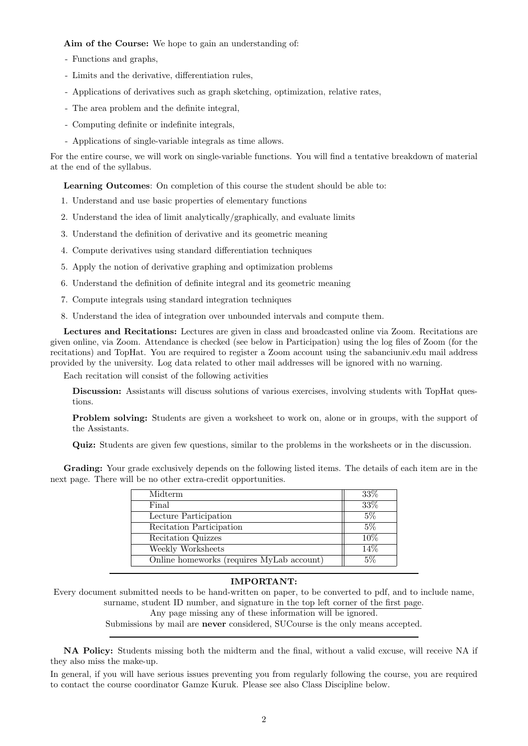Aim of the Course: We hope to gain an understanding of:

- Functions and graphs,
- Limits and the derivative, differentiation rules,
- Applications of derivatives such as graph sketching, optimization, relative rates,
- The area problem and the definite integral,
- Computing definite or indefinite integrals,
- Applications of single-variable integrals as time allows.

For the entire course, we will work on single-variable functions. You will find a tentative breakdown of material at the end of the syllabus.

Learning Outcomes: On completion of this course the student should be able to:

- 1. Understand and use basic properties of elementary functions
- 2. Understand the idea of limit analytically/graphically, and evaluate limits
- 3. Understand the definition of derivative and its geometric meaning
- 4. Compute derivatives using standard differentiation techniques
- 5. Apply the notion of derivative graphing and optimization problems
- 6. Understand the definition of definite integral and its geometric meaning
- 7. Compute integrals using standard integration techniques
- 8. Understand the idea of integration over unbounded intervals and compute them.

Lectures and Recitations: Lectures are given in class and broadcasted online via Zoom. Recitations are given online, via Zoom. Attendance is checked (see below in Participation) using the log files of Zoom (for the recitations) and TopHat. You are required to register a Zoom account using the sabanciuniv.edu mail address provided by the university. Log data related to other mail addresses will be ignored with no warning.

Each recitation will consist of the following activities

Discussion: Assistants will discuss solutions of various exercises, involving students with TopHat questions.

Problem solving: Students are given a worksheet to work on, alone or in groups, with the support of the Assistants.

Quiz: Students are given few questions, similar to the problems in the worksheets or in the discussion.

Grading: Your grade exclusively depends on the following listed items. The details of each item are in the next page. There will be no other extra-credit opportunities.

| Midterm                                   | 33% |
|-------------------------------------------|-----|
| Final                                     | 33% |
| Lecture Participation                     | 5%  |
| Recitation Participation                  | 5%  |
| Recitation Quizzes                        | 10% |
| Weekly Worksheets                         | 14% |
| Online homeworks (requires MyLab account) | 5%  |

## IMPORTANT:

Every document submitted needs to be hand-written on paper, to be converted to pdf, and to include name, surname, student ID number, and signature in the top left corner of the first page.

Any page missing any of these information will be ignored.

Submissions by mail are never considered, SUCourse is the only means accepted.

NA Policy: Students missing both the midterm and the final, without a valid excuse, will receive NA if they also miss the make-up.

In general, if you will have serious issues preventing you from regularly following the course, you are required to contact the course coordinator Gamze Kuruk. Please see also Class Discipline below.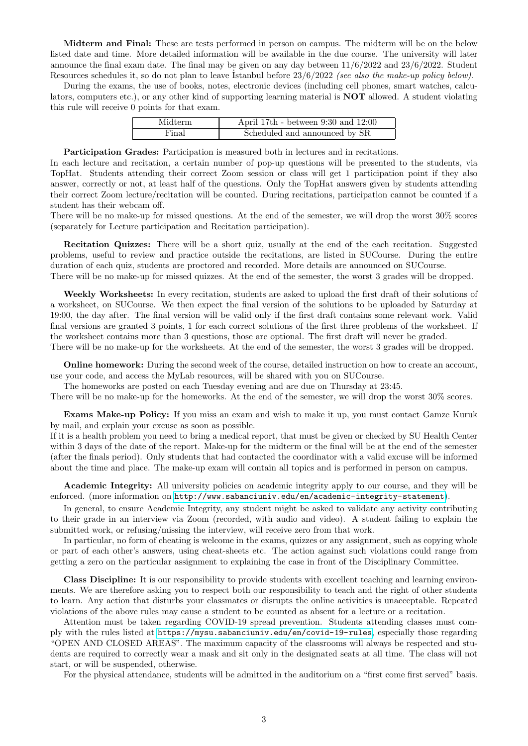Midterm and Final: These are tests performed in person on campus. The midterm will be on the below listed date and time. More detailed information will be available in the due course. The university will later announce the final exam date. The final may be given on any day between  $11/6/2022$  and  $23/6/2022$ . Student Resources schedules it, so do not plan to leave Istanbul before  $23/6/2022$  (see also the make-up policy below).

During the exams, the use of books, notes, electronic devices (including cell phones, smart watches, calculators, computers etc.), or any other kind of supporting learning material is NOT allowed. A student violating this rule will receive 0 points for that exam.

| Midterm | April 17th - between $9:30$ and $12:00$ |
|---------|-----------------------------------------|
| Final   | Scheduled and announced by SR           |

Participation Grades: Participation is measured both in lectures and in recitations.

In each lecture and recitation, a certain number of pop-up questions will be presented to the students, via TopHat. Students attending their correct Zoom session or class will get 1 participation point if they also answer, correctly or not, at least half of the questions. Only the TopHat answers given by students attending their correct Zoom lecture/recitation will be counted. During recitations, participation cannot be counted if a student has their webcam off.

There will be no make-up for missed questions. At the end of the semester, we will drop the worst 30% scores (separately for Lecture participation and Recitation participation).

Recitation Quizzes: There will be a short quiz, usually at the end of the each recitation. Suggested problems, useful to review and practice outside the recitations, are listed in SUCourse. During the entire duration of each quiz, students are proctored and recorded. More details are announced on SUCourse. There will be no make-up for missed quizzes. At the end of the semester, the worst 3 grades will be dropped.

Weekly Worksheets: In every recitation, students are asked to upload the first draft of their solutions of a worksheet, on SUCourse. We then expect the final version of the solutions to be uploaded by Saturday at 19:00, the day after. The final version will be valid only if the first draft contains some relevant work. Valid final versions are granted 3 points, 1 for each correct solutions of the first three problems of the worksheet. If the worksheet contains more than 3 questions, those are optional. The first draft will never be graded. There will be no make-up for the worksheets. At the end of the semester, the worst 3 grades will be dropped.

Online homework: During the second week of the course, detailed instruction on how to create an account, use your code, and access the MyLab resources, will be shared with you on SUCourse.

The homeworks are posted on each Tuesday evening and are due on Thursday at 23:45.

There will be no make-up for the homeworks. At the end of the semester, we will drop the worst 30% scores.

Exams Make-up Policy: If you miss an exam and wish to make it up, you must contact Gamze Kuruk by mail, and explain your excuse as soon as possible.

If it is a health problem you need to bring a medical report, that must be given or checked by SU Health Center within 3 days of the date of the report. Make-up for the midterm or the final will be at the end of the semester (after the finals period). Only students that had contacted the coordinator with a valid excuse will be informed about the time and place. The make-up exam will contain all topics and is performed in person on campus.

Academic Integrity: All university policies on academic integrity apply to our course, and they will be enforced. (more information on <http://www.sabanciuniv.edu/en/academic-integrity-statement>).

In general, to ensure Academic Integrity, any student might be asked to validate any activity contributing to their grade in an interview via Zoom (recorded, with audio and video). A student failing to explain the submitted work, or refusing/missing the interview, will receive zero from that work.

In particular, no form of cheating is welcome in the exams, quizzes or any assignment, such as copying whole or part of each other's answers, using cheat-sheets etc. The action against such violations could range from getting a zero on the particular assignment to explaining the case in front of the Disciplinary Committee.

Class Discipline: It is our responsibility to provide students with excellent teaching and learning environments. We are therefore asking you to respect both our responsibility to teach and the right of other students to learn. Any action that disturbs your classmates or disrupts the online activities is unacceptable. Repeated violations of the above rules may cause a student to be counted as absent for a lecture or a recitation.

Attention must be taken regarding COVID-19 spread prevention. Students attending classes must comply with the rules listed at <https://mysu.sabanciuniv.edu/en/covid-19-rules>, especially those regarding "OPEN AND CLOSED AREAS". The maximum capacity of the classrooms will always be respected and students are required to correctly wear a mask and sit only in the designated seats at all time. The class will not start, or will be suspended, otherwise.

For the physical attendance, students will be admitted in the auditorium on a "first come first served" basis.